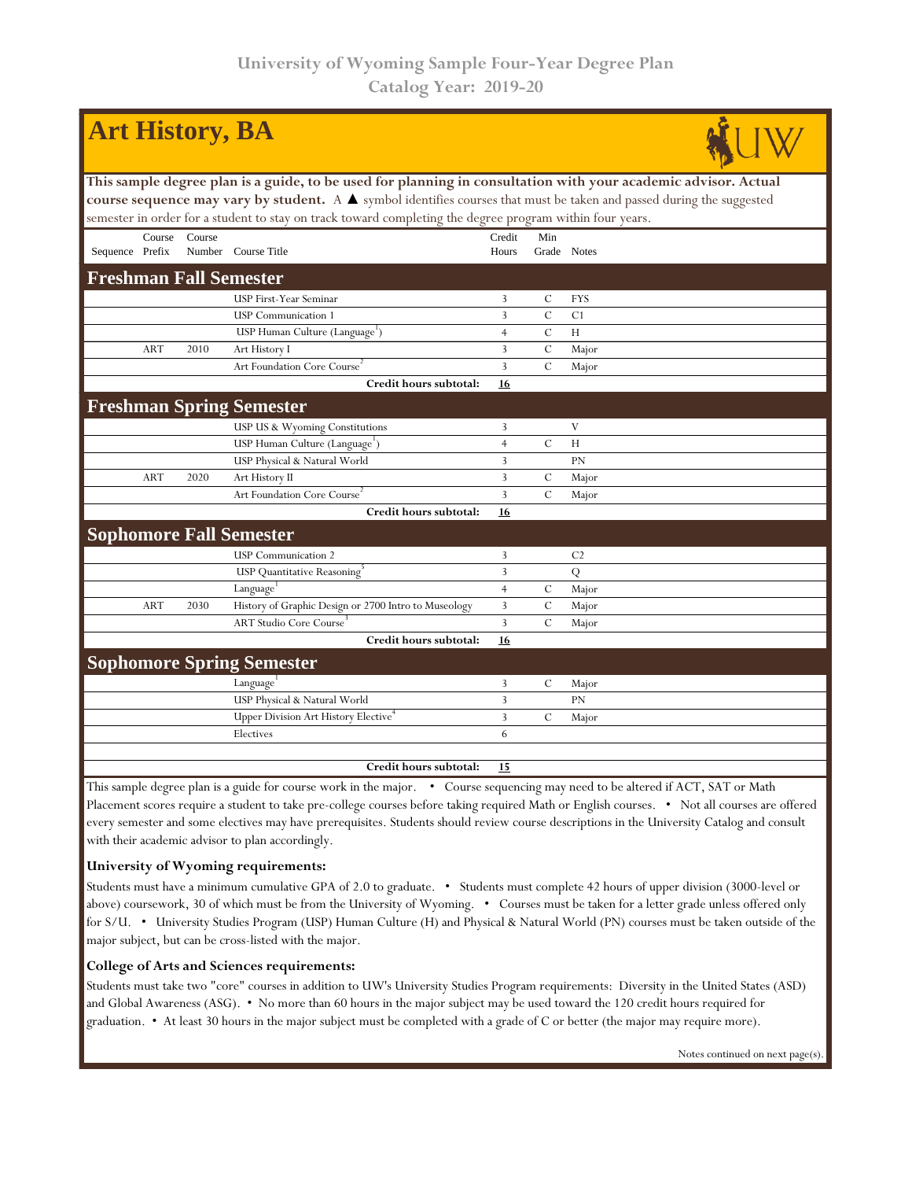|                                                                                                                                                                                                                                                                                                                                                     |            | <b>Art History, BA</b> |                                                      |                 |               |                |  |  |  |  |  |
|-----------------------------------------------------------------------------------------------------------------------------------------------------------------------------------------------------------------------------------------------------------------------------------------------------------------------------------------------------|------------|------------------------|------------------------------------------------------|-----------------|---------------|----------------|--|--|--|--|--|
| This sample degree plan is a guide, to be used for planning in consultation with your academic advisor. Actual<br>course sequence may vary by student. A A symbol identifies courses that must be taken and passed during the suggested<br>semester in order for a student to stay on track toward completing the degree program within four years. |            |                        |                                                      |                 |               |                |  |  |  |  |  |
| Sequence Prefix                                                                                                                                                                                                                                                                                                                                     | Course     | Course                 | Number Course Title                                  | Credit<br>Hours | Min           | Grade Notes    |  |  |  |  |  |
|                                                                                                                                                                                                                                                                                                                                                     |            |                        | <b>Freshman Fall Semester</b>                        |                 |               |                |  |  |  |  |  |
|                                                                                                                                                                                                                                                                                                                                                     |            |                        | USP First-Year Seminar                               | 3               | $\mathcal{C}$ | <b>FYS</b>     |  |  |  |  |  |
|                                                                                                                                                                                                                                                                                                                                                     |            |                        | <b>USP</b> Communication 1                           | 3               | $\mathcal{C}$ | C <sub>1</sub> |  |  |  |  |  |
|                                                                                                                                                                                                                                                                                                                                                     |            |                        | USP Human Culture (Language')                        | $\overline{4}$  | $\mathcal{C}$ | H              |  |  |  |  |  |
|                                                                                                                                                                                                                                                                                                                                                     | <b>ART</b> | 2010                   | Art History I                                        | 3               | $\cal C$      | Major          |  |  |  |  |  |
|                                                                                                                                                                                                                                                                                                                                                     |            |                        | Art Foundation Core Course <sup>2</sup>              | 3               | $\mathbf C$   | Major          |  |  |  |  |  |
|                                                                                                                                                                                                                                                                                                                                                     |            |                        | Credit hours subtotal:                               | 16              |               |                |  |  |  |  |  |
|                                                                                                                                                                                                                                                                                                                                                     |            |                        | <b>Freshman Spring Semester</b>                      |                 |               |                |  |  |  |  |  |
|                                                                                                                                                                                                                                                                                                                                                     |            |                        | USP US & Wyoming Constitutions                       | 3               |               | V              |  |  |  |  |  |
|                                                                                                                                                                                                                                                                                                                                                     |            |                        | USP Human Culture (Language <sup>1</sup> )           | $\overline{4}$  | $\cal C$      | H              |  |  |  |  |  |
|                                                                                                                                                                                                                                                                                                                                                     |            |                        | USP Physical & Natural World                         | 3               |               | PN             |  |  |  |  |  |
|                                                                                                                                                                                                                                                                                                                                                     | <b>ART</b> | 2020                   | Art History II                                       | 3               | C             | Major          |  |  |  |  |  |
|                                                                                                                                                                                                                                                                                                                                                     |            |                        | Art Foundation Core Course <sup>2</sup>              | 3               | $\mathcal{C}$ | Major          |  |  |  |  |  |
|                                                                                                                                                                                                                                                                                                                                                     |            |                        | Credit hours subtotal:                               | 16              |               |                |  |  |  |  |  |
|                                                                                                                                                                                                                                                                                                                                                     |            |                        | <b>Sophomore Fall Semester</b>                       |                 |               |                |  |  |  |  |  |
|                                                                                                                                                                                                                                                                                                                                                     |            |                        | <b>USP</b> Communication 2                           | 3               |               | C <sub>2</sub> |  |  |  |  |  |
|                                                                                                                                                                                                                                                                                                                                                     |            |                        | <b>USP</b> Quantitative Reasoning                    | 3               |               | Q              |  |  |  |  |  |
|                                                                                                                                                                                                                                                                                                                                                     |            |                        | Language <sup>1</sup>                                | $\overline{4}$  | $\mathcal{C}$ | Major          |  |  |  |  |  |
|                                                                                                                                                                                                                                                                                                                                                     | <b>ART</b> | 2030                   | History of Graphic Design or 2700 Intro to Museology | 3               | $\mathcal{C}$ | Major          |  |  |  |  |  |
|                                                                                                                                                                                                                                                                                                                                                     |            |                        | <b>ART Studio Core Course</b>                        | $\overline{3}$  | $\mathcal{C}$ | Major          |  |  |  |  |  |
|                                                                                                                                                                                                                                                                                                                                                     |            |                        | Credit hours subtotal:                               | <b>16</b>       |               |                |  |  |  |  |  |
|                                                                                                                                                                                                                                                                                                                                                     |            |                        | <b>Sophomore Spring Semester</b>                     |                 |               |                |  |  |  |  |  |
|                                                                                                                                                                                                                                                                                                                                                     |            |                        | Language <sup>1</sup>                                | 3               | $\mathcal{C}$ | Major          |  |  |  |  |  |
|                                                                                                                                                                                                                                                                                                                                                     |            |                        | USP Physical & Natural World                         | 3               |               | PN             |  |  |  |  |  |
|                                                                                                                                                                                                                                                                                                                                                     |            |                        | Upper Division Art History Elective                  | $\overline{3}$  | $\mathcal{C}$ | Major          |  |  |  |  |  |
|                                                                                                                                                                                                                                                                                                                                                     |            |                        | Electives                                            | 6               |               |                |  |  |  |  |  |
|                                                                                                                                                                                                                                                                                                                                                     |            |                        | Credit hours subtotal:                               | 15              |               |                |  |  |  |  |  |
| This sample degree plan is a guide for course work in the major. • Course sequencing may need to be altered if ACT, SAT or Math                                                                                                                                                                                                                     |            |                        |                                                      |                 |               |                |  |  |  |  |  |

Placement scores require a student to take pre-college courses before taking required Math or English courses. • Not all courses are offered every semester and some electives may have prerequisites. Students should review course descriptions in the University Catalog and consult with their academic advisor to plan accordingly.

## **University of Wyoming requirements:**

Students must have a minimum cumulative GPA of 2.0 to graduate. • Students must complete 42 hours of upper division (3000-level or above) coursework, 30 of which must be from the University of Wyoming. • Courses must be taken for a letter grade unless offered only for S/U. • University Studies Program (USP) Human Culture (H) and Physical & Natural World (PN) courses must be taken outside of the major subject, but can be cross-listed with the major.

## **College of Arts and Sciences requirements:**

Students must take two "core" courses in addition to UW's University Studies Program requirements: Diversity in the United States (ASD) and Global Awareness (ASG). • No more than 60 hours in the major subject may be used toward the 120 credit hours required for graduation. • At least 30 hours in the major subject must be completed with a grade of C or better (the major may require more).